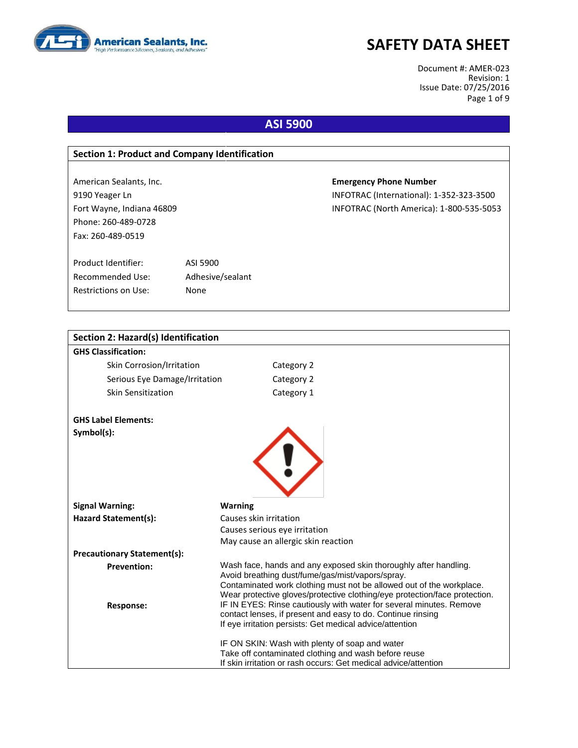

Document #: AMER-023 Revision: 1 Issue Date: 07/25/2016 Page 1 of 9

### **ASI 5900**

| <b>Section 1: Product and Company Identification</b> |                  |                                          |
|------------------------------------------------------|------------------|------------------------------------------|
|                                                      |                  |                                          |
| American Sealants, Inc.                              |                  | <b>Emergency Phone Number</b>            |
| 9190 Yeager Ln                                       |                  | INFOTRAC (International): 1-352-323-3500 |
| Fort Wayne, Indiana 46809                            |                  | INFOTRAC (North America): 1-800-535-5053 |
| Phone: 260-489-0728                                  |                  |                                          |
| Fax: 260-489-0519                                    |                  |                                          |
|                                                      |                  |                                          |
| Product Identifier:                                  | ASI 5900         |                                          |
| Recommended Use:                                     | Adhesive/sealant |                                          |
| Restrictions on Use:                                 | None             |                                          |
|                                                      |                  |                                          |

| <b>Section 2: Hazard(s) Identification</b> |                                                                                                                                                    |
|--------------------------------------------|----------------------------------------------------------------------------------------------------------------------------------------------------|
| <b>GHS Classification:</b>                 |                                                                                                                                                    |
| Skin Corrosion/Irritation                  | Category 2                                                                                                                                         |
| Serious Eye Damage/Irritation              | Category 2                                                                                                                                         |
| Skin Sensitization                         | Category 1                                                                                                                                         |
| <b>GHS Label Elements:</b>                 |                                                                                                                                                    |
| Symbol(s):                                 |                                                                                                                                                    |
|                                            |                                                                                                                                                    |
|                                            |                                                                                                                                                    |
|                                            |                                                                                                                                                    |
|                                            |                                                                                                                                                    |
|                                            |                                                                                                                                                    |
| <b>Signal Warning:</b>                     | <b>Warning</b>                                                                                                                                     |
| Hazard Statement(s):                       | Causes skin irritation                                                                                                                             |
|                                            | Causes serious eye irritation                                                                                                                      |
|                                            | May cause an allergic skin reaction                                                                                                                |
| <b>Precautionary Statement(s):</b>         |                                                                                                                                                    |
| <b>Prevention:</b>                         | Wash face, hands and any exposed skin thoroughly after handling.                                                                                   |
|                                            | Avoid breathing dust/fume/gas/mist/vapors/spray.                                                                                                   |
|                                            | Contaminated work clothing must not be allowed out of the workplace.<br>Wear protective gloves/protective clothing/eye protection/face protection. |
| <b>Response:</b>                           | IF IN EYES: Rinse cautiously with water for several minutes. Remove                                                                                |
|                                            | contact lenses, if present and easy to do. Continue rinsing                                                                                        |
|                                            | If eye irritation persists: Get medical advice/attention                                                                                           |
|                                            | IF ON SKIN: Wash with plenty of soap and water                                                                                                     |
|                                            | Take off contaminated clothing and wash before reuse                                                                                               |
|                                            | If skin irritation or rash occurs: Get medical advice/attention                                                                                    |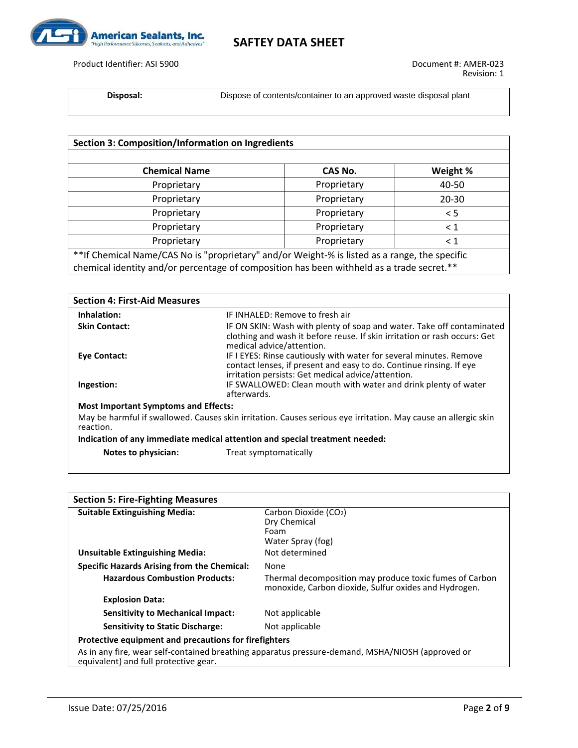

Product Identifier: ASI 5900 Document #: AMER-023

**Disposal:** Dispose of contents/container to an approved waste disposal plant

| <b>Section 3: Composition/Information on Ingredients</b>                                      |             |           |  |  |
|-----------------------------------------------------------------------------------------------|-------------|-----------|--|--|
|                                                                                               |             |           |  |  |
| <b>Chemical Name</b>                                                                          | CAS No.     | Weight %  |  |  |
| Proprietary                                                                                   | Proprietary | 40-50     |  |  |
| Proprietary                                                                                   | Proprietary | $20 - 30$ |  |  |
| Proprietary                                                                                   | Proprietary | < 5       |  |  |
| Proprietary                                                                                   | Proprietary | $\leq 1$  |  |  |
| Proprietary                                                                                   | Proprietary | $\leq 1$  |  |  |
| **If Chemical Name/CAS No is "proprietary" and/or Weight-% is listed as a range, the specific |             |           |  |  |
| chemical identity and/or percentage of composition has been withheld as a trade secret.**     |             |           |  |  |

| <b>Section 4: First-Aid Measures</b>        |                                                                                                                                                                                                 |
|---------------------------------------------|-------------------------------------------------------------------------------------------------------------------------------------------------------------------------------------------------|
| Inhalation:                                 | IF INHALED: Remove to fresh air                                                                                                                                                                 |
| <b>Skin Contact:</b>                        | IF ON SKIN: Wash with plenty of soap and water. Take off contaminated<br>clothing and wash it before reuse. If skin irritation or rash occurs: Get<br>medical advice/attention.                 |
| Eye Contact:                                | IF I EYES: Rinse cautiously with water for several minutes. Remove<br>contact lenses, if present and easy to do. Continue rinsing. If eye<br>irritation persists: Get medical advice/attention. |
| Ingestion:                                  | IF SWALLOWED: Clean mouth with water and drink plenty of water<br>afterwards.                                                                                                                   |
| <b>Most Important Symptoms and Effects:</b> |                                                                                                                                                                                                 |
| reaction.                                   | May be harmful if swallowed. Causes skin irritation. Causes serious eye irritation. May cause an allergic skin                                                                                  |
|                                             | Indication of any immediate medical attention and special treatment needed:                                                                                                                     |
| Notes to physician:                         | Treat symptomatically                                                                                                                                                                           |

| <b>Section 5: Fire-Fighting Measures</b>                                                                                                  |                                                                                                                  |  |  |  |
|-------------------------------------------------------------------------------------------------------------------------------------------|------------------------------------------------------------------------------------------------------------------|--|--|--|
| <b>Suitable Extinguishing Media:</b>                                                                                                      | Carbon Dioxide (CO2)                                                                                             |  |  |  |
|                                                                                                                                           | Dry Chemical<br>Foam                                                                                             |  |  |  |
|                                                                                                                                           | Water Spray (fog)                                                                                                |  |  |  |
| <b>Unsuitable Extinguishing Media:</b>                                                                                                    | Not determined                                                                                                   |  |  |  |
| <b>Specific Hazards Arising from the Chemical:</b>                                                                                        | None                                                                                                             |  |  |  |
| <b>Hazardous Combustion Products:</b>                                                                                                     | Thermal decomposition may produce toxic fumes of Carbon<br>monoxide, Carbon dioxide, Sulfur oxides and Hydrogen. |  |  |  |
| <b>Explosion Data:</b>                                                                                                                    |                                                                                                                  |  |  |  |
| <b>Sensitivity to Mechanical Impact:</b>                                                                                                  | Not applicable                                                                                                   |  |  |  |
| <b>Sensitivity to Static Discharge:</b>                                                                                                   | Not applicable                                                                                                   |  |  |  |
| Protective equipment and precautions for firefighters                                                                                     |                                                                                                                  |  |  |  |
| As in any fire, wear self-contained breathing apparatus pressure-demand, MSHA/NIOSH (approved or<br>equivalent) and full protective gear. |                                                                                                                  |  |  |  |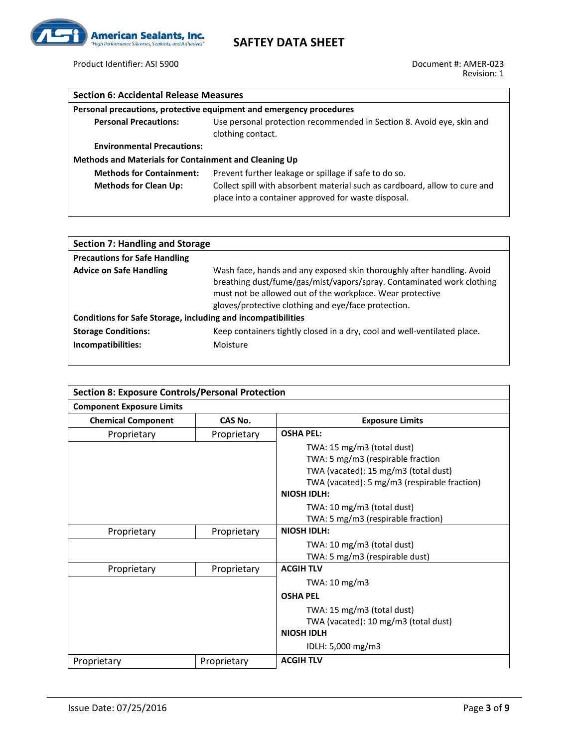

Product Identifier: ASI 5900 **Document #: AMER-023** 

| <b>Section 6: Accidental Release Measures</b>                       |                                                                                                                                                                                            |  |  |  |
|---------------------------------------------------------------------|--------------------------------------------------------------------------------------------------------------------------------------------------------------------------------------------|--|--|--|
| Personal precautions, protective equipment and emergency procedures |                                                                                                                                                                                            |  |  |  |
| <b>Personal Precautions:</b>                                        | Use personal protection recommended in Section 8. Avoid eye, skin and<br>clothing contact.                                                                                                 |  |  |  |
| <b>Environmental Precautions:</b>                                   |                                                                                                                                                                                            |  |  |  |
| Methods and Materials for Containment and Cleaning Up               |                                                                                                                                                                                            |  |  |  |
| <b>Methods for Containment:</b><br><b>Methods for Clean Up:</b>     | Prevent further leakage or spillage if safe to do so.<br>Collect spill with absorbent material such as cardboard, allow to cure and<br>place into a container approved for waste disposal. |  |  |  |

| <b>Section 7: Handling and Storage</b>                              |                                                                                                                                                                                                                                                                     |  |  |  |
|---------------------------------------------------------------------|---------------------------------------------------------------------------------------------------------------------------------------------------------------------------------------------------------------------------------------------------------------------|--|--|--|
| <b>Precautions for Safe Handling</b>                                |                                                                                                                                                                                                                                                                     |  |  |  |
| <b>Advice on Safe Handling</b>                                      | Wash face, hands and any exposed skin thoroughly after handling. Avoid<br>breathing dust/fume/gas/mist/vapors/spray. Contaminated work clothing<br>must not be allowed out of the workplace. Wear protective<br>gloves/protective clothing and eye/face protection. |  |  |  |
| <b>Conditions for Safe Storage, including and incompatibilities</b> |                                                                                                                                                                                                                                                                     |  |  |  |
| <b>Storage Conditions:</b>                                          | Keep containers tightly closed in a dry, cool and well-ventilated place.                                                                                                                                                                                            |  |  |  |
| Incompatibilities:                                                  | Moisture                                                                                                                                                                                                                                                            |  |  |  |

| <b>Section 8: Exposure Controls/Personal Protection</b> |             |                                                                                                                                                                                                                                                   |
|---------------------------------------------------------|-------------|---------------------------------------------------------------------------------------------------------------------------------------------------------------------------------------------------------------------------------------------------|
| <b>Component Exposure Limits</b>                        |             |                                                                                                                                                                                                                                                   |
| <b>Chemical Component</b>                               | CAS No.     | <b>Exposure Limits</b>                                                                                                                                                                                                                            |
| Proprietary                                             | Proprietary | <b>OSHA PEL:</b>                                                                                                                                                                                                                                  |
|                                                         |             | TWA: 15 mg/m3 (total dust)<br>TWA: 5 mg/m3 (respirable fraction<br>TWA (vacated): 15 mg/m3 (total dust)<br>TWA (vacated): 5 mg/m3 (respirable fraction)<br><b>NIOSH IDLH:</b><br>TWA: 10 mg/m3 (total dust)<br>TWA: 5 mg/m3 (respirable fraction) |
| Proprietary                                             | Proprietary | <b>NIOSH IDLH:</b>                                                                                                                                                                                                                                |
|                                                         |             | TWA: 10 mg/m3 (total dust)<br>TWA: 5 mg/m3 (respirable dust)                                                                                                                                                                                      |
| Proprietary                                             | Proprietary | <b>ACGIH TLV</b>                                                                                                                                                                                                                                  |
|                                                         |             | TWA: 10 mg/m3                                                                                                                                                                                                                                     |
|                                                         |             | <b>OSHA PEL</b>                                                                                                                                                                                                                                   |
|                                                         |             | TWA: 15 mg/m3 (total dust)<br>TWA (vacated): 10 mg/m3 (total dust)<br><b>NIOSH IDLH</b><br>IDLH: 5,000 mg/m3                                                                                                                                      |
| Proprietary                                             | Proprietary | <b>ACGIH TLV</b>                                                                                                                                                                                                                                  |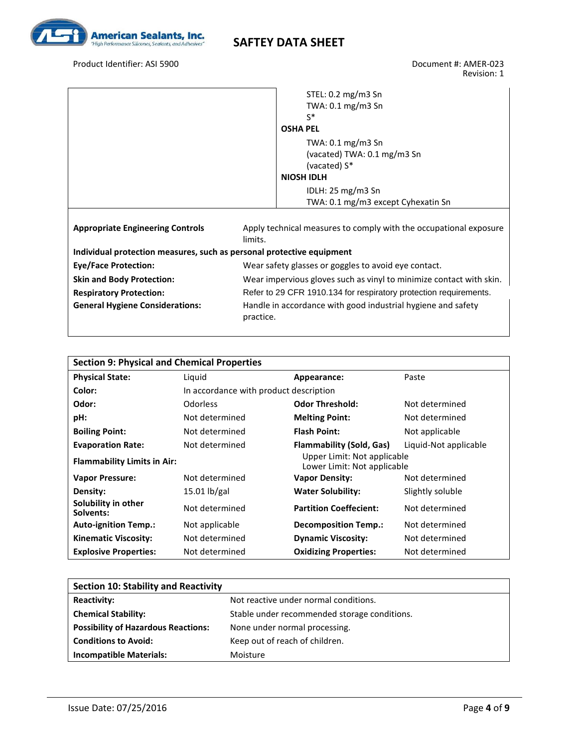

Product Identifier: ASI 5900 **Document #: AMER-023** 

Revision: 1

|                                                                       | STEL: $0.2 \text{ mg/m}$ 3 Sn<br>TWA: $0.1 \text{ mg/m}$ 3 Sn<br>$S^*$<br><b>OSHA PEL</b><br>TWA: $0.1 \text{ mg/m}$ 3 Sn<br>(vacated) TWA: 0.1 mg/m3 Sn<br>(vacated) S*<br><b>NIOSH IDLH</b><br>IDLH: $25 \text{ mg/m}$ 3 Sn<br>TWA: 0.1 mg/m3 except Cyhexatin Sn |  |  |
|-----------------------------------------------------------------------|---------------------------------------------------------------------------------------------------------------------------------------------------------------------------------------------------------------------------------------------------------------------|--|--|
| <b>Appropriate Engineering Controls</b>                               | Apply technical measures to comply with the occupational exposure<br>limits.                                                                                                                                                                                        |  |  |
| Individual protection measures, such as personal protective equipment |                                                                                                                                                                                                                                                                     |  |  |
| <b>Eye/Face Protection:</b>                                           | Wear safety glasses or goggles to avoid eye contact.                                                                                                                                                                                                                |  |  |
| <b>Skin and Body Protection:</b>                                      | Wear impervious gloves such as vinyl to minimize contact with skin.                                                                                                                                                                                                 |  |  |
| <b>Respiratory Protection:</b>                                        | Refer to 29 CFR 1910.134 for respiratory protection requirements.                                                                                                                                                                                                   |  |  |
| <b>General Hygiene Considerations:</b>                                | Handle in accordance with good industrial hygiene and safety<br>practice.                                                                                                                                                                                           |  |  |

| <b>Section 9: Physical and Chemical Properties</b> |                                                            |                                 |                       |  |  |
|----------------------------------------------------|------------------------------------------------------------|---------------------------------|-----------------------|--|--|
| <b>Physical State:</b>                             | Liquid                                                     | Appearance:                     | Paste                 |  |  |
| Color:                                             | In accordance with product description                     |                                 |                       |  |  |
| Odor:                                              | <b>Odorless</b>                                            | <b>Odor Threshold:</b>          | Not determined        |  |  |
| pH:                                                | Not determined                                             | <b>Melting Point:</b>           | Not determined        |  |  |
| <b>Boiling Point:</b>                              | Not determined                                             | <b>Flash Point:</b>             | Not applicable        |  |  |
| <b>Evaporation Rate:</b>                           | Not determined                                             | <b>Flammability (Sold, Gas)</b> | Liquid-Not applicable |  |  |
| <b>Flammability Limits in Air:</b>                 | Upper Limit: Not applicable<br>Lower Limit: Not applicable |                                 |                       |  |  |
| <b>Vapor Pressure:</b>                             | Not determined                                             | <b>Vapor Density:</b>           | Not determined        |  |  |
| Density:                                           | $15.01$ lb/gal                                             | <b>Water Solubility:</b>        | Slightly soluble      |  |  |
| Solubility in other<br>Solvents:                   | Not determined                                             | <b>Partition Coeffecient:</b>   | Not determined        |  |  |
| <b>Auto-ignition Temp.:</b>                        | Not applicable                                             | <b>Decomposition Temp.:</b>     | Not determined        |  |  |
| <b>Kinematic Viscosity:</b>                        | Not determined                                             | <b>Dynamic Viscosity:</b>       | Not determined        |  |  |
| <b>Explosive Properties:</b>                       | Not determined                                             | <b>Oxidizing Properties:</b>    | Not determined        |  |  |

| <b>Section 10: Stability and Reactivity</b> |                                              |
|---------------------------------------------|----------------------------------------------|
| <b>Reactivity:</b>                          | Not reactive under normal conditions.        |
| <b>Chemical Stability:</b>                  | Stable under recommended storage conditions. |
| <b>Possibility of Hazardous Reactions:</b>  | None under normal processing.                |
| <b>Conditions to Avoid:</b>                 | Keep out of reach of children.               |
| <b>Incompatible Materials:</b>              | Moisture                                     |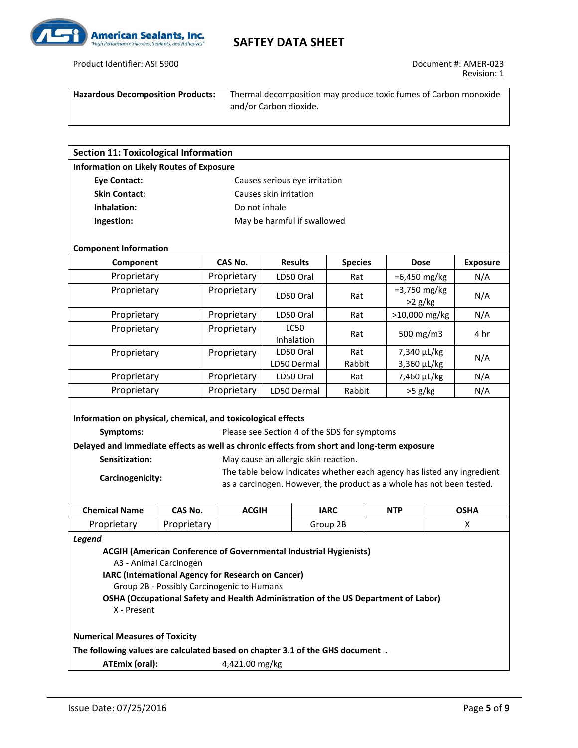

Product Identifier: ASI 5900 Document #: AMER-023

**Hazardous Decomposition Products:** Thermal decomposition may produce toxic fumes of Carbon monoxide and/or Carbon dioxide.

| <b>Section 11: Toxicological Information</b>                                                                                                                                                                                                                                                                                                                                                                                                              |                                  |                        |  |                             |                     |                            |                 |  |
|-----------------------------------------------------------------------------------------------------------------------------------------------------------------------------------------------------------------------------------------------------------------------------------------------------------------------------------------------------------------------------------------------------------------------------------------------------------|----------------------------------|------------------------|--|-----------------------------|---------------------|----------------------------|-----------------|--|
| <b>Information on Likely Routes of Exposure</b>                                                                                                                                                                                                                                                                                                                                                                                                           |                                  |                        |  |                             |                     |                            |                 |  |
| <b>Eye Contact:</b>                                                                                                                                                                                                                                                                                                                                                                                                                                       | Causes serious eye irritation    |                        |  |                             |                     |                            |                 |  |
| <b>Skin Contact:</b>                                                                                                                                                                                                                                                                                                                                                                                                                                      |                                  | Causes skin irritation |  |                             |                     |                            |                 |  |
| Inhalation:                                                                                                                                                                                                                                                                                                                                                                                                                                               |                                  | Do not inhale          |  |                             |                     |                            |                 |  |
| Ingestion:                                                                                                                                                                                                                                                                                                                                                                                                                                                |                                  |                        |  | May be harmful if swallowed |                     |                            |                 |  |
|                                                                                                                                                                                                                                                                                                                                                                                                                                                           |                                  |                        |  |                             |                     |                            |                 |  |
|                                                                                                                                                                                                                                                                                                                                                                                                                                                           | <b>Component Information</b>     |                        |  |                             |                     |                            |                 |  |
| Component                                                                                                                                                                                                                                                                                                                                                                                                                                                 |                                  | CAS No.                |  | <b>Results</b>              | <b>Species</b>      | <b>Dose</b>                | <b>Exposure</b> |  |
| Proprietary                                                                                                                                                                                                                                                                                                                                                                                                                                               |                                  | Proprietary            |  | LD50 Oral                   | Rat<br>=6,450 mg/kg |                            | N/A             |  |
| Proprietary                                                                                                                                                                                                                                                                                                                                                                                                                                               |                                  | Proprietary            |  | LD50 Oral                   | Rat                 | =3,750 mg/kg<br>$>2$ g/kg  | N/A             |  |
| Proprietary                                                                                                                                                                                                                                                                                                                                                                                                                                               |                                  | Proprietary            |  | LD50 Oral                   | Rat                 | >10,000 mg/kg              | N/A             |  |
| Proprietary                                                                                                                                                                                                                                                                                                                                                                                                                                               |                                  | Proprietary            |  | LC50<br>Inhalation          | Rat                 | 500 mg/m3                  | 4 hr            |  |
| Proprietary                                                                                                                                                                                                                                                                                                                                                                                                                                               |                                  | Proprietary            |  | LD50 Oral<br>LD50 Dermal    | Rat<br>Rabbit       | 7,340 µL/kg<br>3,360 µL/kg | N/A             |  |
| Proprietary                                                                                                                                                                                                                                                                                                                                                                                                                                               |                                  | Proprietary            |  | LD50 Oral<br>Rat            |                     | 7,460 µL/kg                | N/A             |  |
| Proprietary                                                                                                                                                                                                                                                                                                                                                                                                                                               |                                  | Proprietary            |  | Rabbit<br>LD50 Dermal       |                     | $>5$ g/kg                  | N/A             |  |
| Information on physical, chemical, and toxicological effects<br>Symptoms:<br>Please see Section 4 of the SDS for symptoms<br>Delayed and immediate effects as well as chronic effects from short and long-term exposure<br>Sensitization:<br>May cause an allergic skin reaction.<br>The table below indicates whether each agency has listed any ingredient<br>Carcinogenicity:<br>as a carcinogen. However, the product as a whole has not been tested. |                                  |                        |  |                             |                     |                            |                 |  |
| <b>Chemical Name</b>                                                                                                                                                                                                                                                                                                                                                                                                                                      | CAS No.                          | <b>ACGIH</b>           |  |                             | <b>IARC</b>         | <b>NTP</b>                 | <b>OSHA</b>     |  |
| Proprietary                                                                                                                                                                                                                                                                                                                                                                                                                                               | Proprietary                      |                        |  | Group 2B                    |                     |                            | X               |  |
| Legend<br><b>ACGIH (American Conference of Governmental Industrial Hygienists)</b><br>A3 - Animal Carcinogen<br>IARC (International Agency for Research on Cancer)<br>Group 2B - Possibly Carcinogenic to Humans<br>OSHA (Occupational Safety and Health Administration of the US Department of Labor)<br>X - Present<br><b>Numerical Measures of Toxicity</b><br>The following values are calculated based on chapter 3.1 of the GHS document.           |                                  |                        |  |                             |                     |                            |                 |  |
|                                                                                                                                                                                                                                                                                                                                                                                                                                                           | ATEmix (oral):<br>4,421.00 mg/kg |                        |  |                             |                     |                            |                 |  |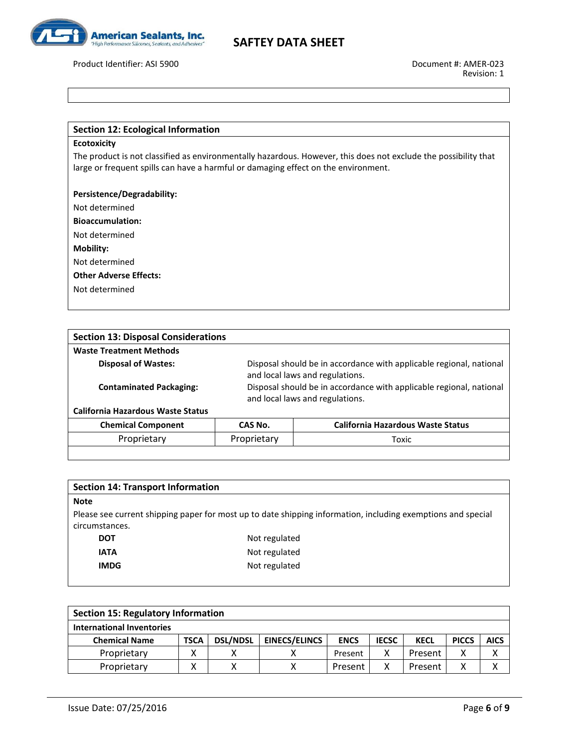

Product Identifier: ASI 5900 Document #: AMER-023

### **Section 12: Ecological Information**

#### **Ecotoxicity**

The product is not classified as environmentally hazardous. However, this does not exclude the possibility that large or frequent spills can have a harmful or damaging effect on the environment.

#### **Persistence/Degradability:**

Not determined

**Bioaccumulation:**

Not determined

**Mobility:**

Not determined

#### **Other Adverse Effects:**

Not determined

| <b>Section 13: Disposal Considerations</b> |                                                                                                        |                                                                                                        |  |
|--------------------------------------------|--------------------------------------------------------------------------------------------------------|--------------------------------------------------------------------------------------------------------|--|
| <b>Waste Treatment Methods</b>             |                                                                                                        |                                                                                                        |  |
| <b>Disposal of Wastes:</b>                 |                                                                                                        | Disposal should be in accordance with applicable regional, national<br>and local laws and regulations. |  |
| <b>Contaminated Packaging:</b>             | Disposal should be in accordance with applicable regional, national<br>and local laws and regulations. |                                                                                                        |  |
| California Hazardous Waste Status          |                                                                                                        |                                                                                                        |  |
| <b>Chemical Component</b>                  | CAS No.                                                                                                | <b>California Hazardous Waste Status</b>                                                               |  |
| Proprietary                                | Proprietary                                                                                            | Toxic                                                                                                  |  |

| <b>Section 14: Transport Information</b> |                                                                                                              |
|------------------------------------------|--------------------------------------------------------------------------------------------------------------|
| <b>Note</b>                              |                                                                                                              |
| circumstances.                           | Please see current shipping paper for most up to date shipping information, including exemptions and special |
| <b>DOT</b>                               | Not regulated                                                                                                |
| <b>IATA</b>                              | Not regulated                                                                                                |
| <b>IMDG</b>                              | Not regulated                                                                                                |
|                                          |                                                                                                              |

| <b>Section 15: Regulatory Information</b> |             |                 |                      |             |              |             |              |             |
|-------------------------------------------|-------------|-----------------|----------------------|-------------|--------------|-------------|--------------|-------------|
| International Inventories                 |             |                 |                      |             |              |             |              |             |
| <b>Chemical Name</b>                      | <b>TSCA</b> | <b>DSL/NDSL</b> | <b>EINECS/ELINCS</b> | <b>ENCS</b> | <b>IECSC</b> | <b>KECL</b> | <b>PICCS</b> | <b>AICS</b> |
| Proprietary                               |             |                 |                      | Present     |              | Present     |              |             |
| Proprietary                               |             |                 |                      | Present     |              | Present     |              |             |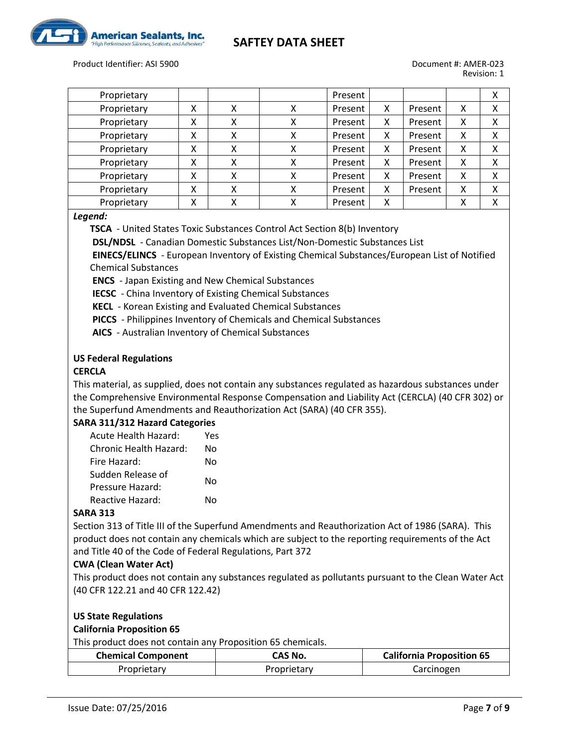

Product Identifier: ASI 5900 Document #: AMER-023

Revision: 1

| Proprietary |   |   |   | Present |   |         |   |   |
|-------------|---|---|---|---------|---|---------|---|---|
| Proprietary | Χ |   | x | Present | x | Present |   |   |
| Proprietary | x | х | x | Present | X | Present | x | х |
| Proprietary | x | х | х | Present | X | Present | x | х |
| Proprietary | Χ | χ | х | Present | X | Present | X | х |
| Proprietary | x | x | x | Present | X | Present | x | χ |
| Proprietary | Χ | x | x | Present | X | Present | x | χ |
| Proprietary | Χ | x | x | Present | X | Present | x | χ |
| Proprietary | Χ | x | x | Present | X |         |   | v |

### *Legend:*

**TSCA** - United States Toxic Substances Control Act Section 8(b) Inventory

**DSL/NDSL** - Canadian Domestic Substances List/Non-Domestic Substances List

**EINECS/ELINCS** - European Inventory of Existing Chemical Substances/European List of Notified Chemical Substances

**ENCS** - Japan Existing and New Chemical Substances

**IECSC** - China Inventory of Existing Chemical Substances

**KECL** - Korean Existing and Evaluated Chemical Substances

**PICCS** - Philippines Inventory of Chemicals and Chemical Substances

**AICS** - Australian Inventory of Chemical Substances

### **US Federal Regulations**

### **CERCLA**

This material, as supplied, does not contain any substances regulated as hazardous substances under the Comprehensive Environmental Response Compensation and Liability Act (CERCLA) (40 CFR 302) or the Superfund Amendments and Reauthorization Act (SARA) (40 CFR 355).

### **SARA 311/312 Hazard Categories**

| Acute Health Hazard:   | Υρς |
|------------------------|-----|
| Chronic Health Hazard: | N٥  |
| Fire Hazard:           | N٥  |
| Sudden Release of      | N٥  |
| Pressure Hazard:       |     |
| Reactive Hazard:       | N٥  |
|                        |     |

### **SARA 313**

Section 313 of Title III of the Superfund Amendments and Reauthorization Act of 1986 (SARA). This product does not contain any chemicals which are subject to the reporting requirements of the Act and Title 40 of the Code of Federal Regulations, Part 372

### **CWA (Clean Water Act)**

This product does not contain any substances regulated as pollutants pursuant to the Clean Water Act (40 CFR 122.21 and 40 CFR 122.42)

**US State Regulations**

### **California Proposition 65**

This product does not contain any Proposition 65 chemicals.

| <b>Chemical Component</b> | CAS No.     | <b>California Proposition 65</b> |
|---------------------------|-------------|----------------------------------|
| Proprietary               | Proprietary | Carcinogen                       |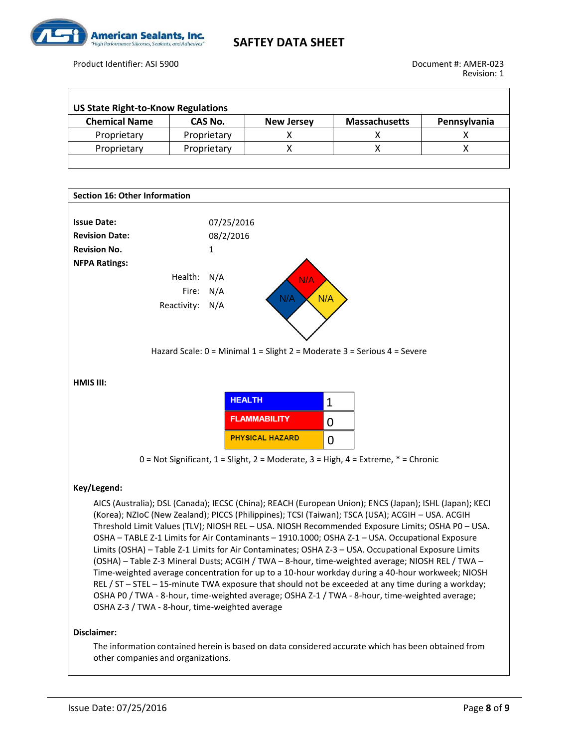

Product Identifier: ASI 5900 Document #: AMER-023

٦

| <b>US State Right-to-Know Regulations</b> |             |                   |                      |              |  |
|-------------------------------------------|-------------|-------------------|----------------------|--------------|--|
| <b>Chemical Name</b>                      | CAS No.     | <b>New Jersey</b> | <b>Massachusetts</b> | Pennsylvania |  |
| Proprietary                               | Proprietary |                   |                      |              |  |
| Proprietary                               | Proprietary |                   |                      |              |  |



The information contained herein is based on data considered accurate which has been obtained from other companies and organizations.